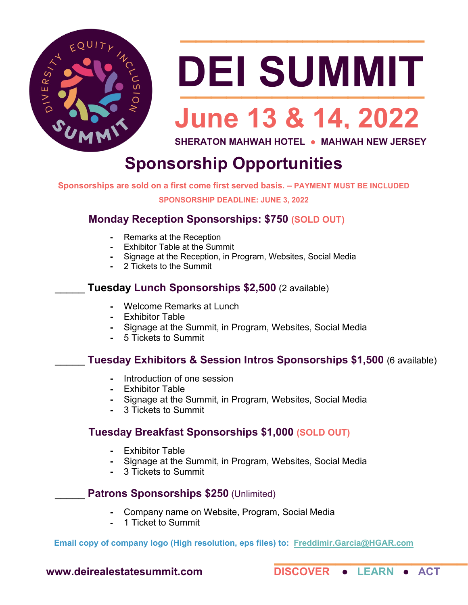

# DEI SUMMIT

 $\overline{\phantom{a}}$  , where  $\overline{\phantom{a}}$  , where  $\overline{\phantom{a}}$  ,  $\overline{\phantom{a}}$  ,  $\overline{\phantom{a}}$  ,  $\overline{\phantom{a}}$  ,  $\overline{\phantom{a}}$  ,  $\overline{\phantom{a}}$  ,  $\overline{\phantom{a}}$  ,  $\overline{\phantom{a}}$  ,  $\overline{\phantom{a}}$  ,  $\overline{\phantom{a}}$  ,  $\overline{\phantom{a}}$  ,  $\overline{\phantom{a}}$  ,  $\overline{\phantom{a}}$  ,

### **June 13 & 14, 2022**

**SHERATON MAHWAH HOTEL ● MAHWAH NEW JERSEY**

### **Sponsorship Opportunities**

**Sponsorships are sold on a first come first served basis. – PAYMENT MUST BE INCLUDED**

**SPONSORSHIP DEADLINE: JUNE 3, 2022**

#### **Monday Reception Sponsorships: \$750 (SOLD OUT)**

- **-** Remarks at the Reception
- **-** Exhibitor Table at the Summit
- **-** Signage at the Reception, in Program, Websites, Social Media
- **-** 2 Tickets to the Summit

#### \_\_\_\_\_ **Tuesday Lunch Sponsorships \$2,500** (2 available)

- **-** Welcome Remarks at Lunch
- **-** Exhibitor Table
- **-** Signage at the Summit, in Program, Websites, Social Media
- **-** 5 Tickets to Summit

#### \_\_\_\_\_ **Tuesday Exhibitors & Session Intros Sponsorships \$1,500** (6 available)

- **-** Introduction of one session
- **-** Exhibitor Table
- **-** Signage at the Summit, in Program, Websites, Social Media
- **-** 3 Tickets to Summit

#### **Tuesday Breakfast Sponsorships \$1,000 (SOLD OUT)**

- 
- **-** Exhibitor Table **-** Signage at the Summit, in Program, Websites, Social Media
- **-** 3 Tickets to Summit

#### Patrons Sponsorships \$250 (Unlimited)

- **-** Company name on Website, Program, Social Media
- **-** 1 Ticket to Summit

\_[\\_\\_\\_\\_\\_\\_\\_\\_\\_](mailto:Freddimir.Garcia@HGAR.com)\_\_\_ **Email copy of company logo (High resolution, eps files) to: Freddimir.Garcia@HGAR.com** 

**[www.deirealestatesummit.com](http://www.deirealestatesummit.com/) DISCOVER ● LEARN ● ACT**